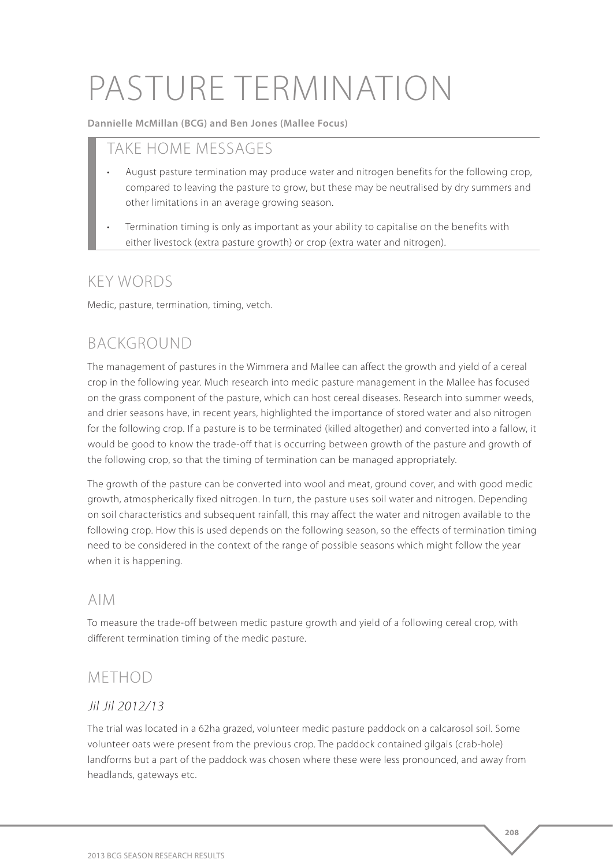# PASTURE TERMINATION

**Dannielle McMillan (BCG) and Ben Jones (Mallee Focus)**

## TAKE HOME MESSAGES

- August pasture termination may produce water and nitrogen benefits for the following crop, compared to leaving the pasture to grow, but these may be neutralised by dry summers and other limitations in an average growing season.
- Termination timing is only as important as your ability to capitalise on the benefits with either livestock (extra pasture growth) or crop (extra water and nitrogen).

## KEY WORDS

Medic, pasture, termination, timing, vetch.

# BACKGROUND

The management of pastures in the Wimmera and Mallee can affect the growth and yield of a cereal crop in the following year. Much research into medic pasture management in the Mallee has focused on the grass component of the pasture, which can host cereal diseases. Research into summer weeds, and drier seasons have, in recent years, highlighted the importance of stored water and also nitrogen for the following crop. If a pasture is to be terminated (killed altogether) and converted into a fallow, it would be good to know the trade-off that is occurring between growth of the pasture and growth of the following crop, so that the timing of termination can be managed appropriately.

The growth of the pasture can be converted into wool and meat, ground cover, and with good medic growth, atmospherically fixed nitrogen. In turn, the pasture uses soil water and nitrogen. Depending on soil characteristics and subsequent rainfall, this may affect the water and nitrogen available to the following crop. How this is used depends on the following season, so the effects of termination timing need to be considered in the context of the range of possible seasons which might follow the year when it is happening.

### AIM

To measure the trade-off between medic pasture growth and yield of a following cereal crop, with different termination timing of the medic pasture.

# METHOD

#### Jil Jil 2012/13

The trial was located in a 62ha grazed, volunteer medic pasture paddock on a calcarosol soil. Some volunteer oats were present from the previous crop. The paddock contained gilgais (crab-hole) landforms but a part of the paddock was chosen where these were less pronounced, and away from headlands, gateways etc.

**208**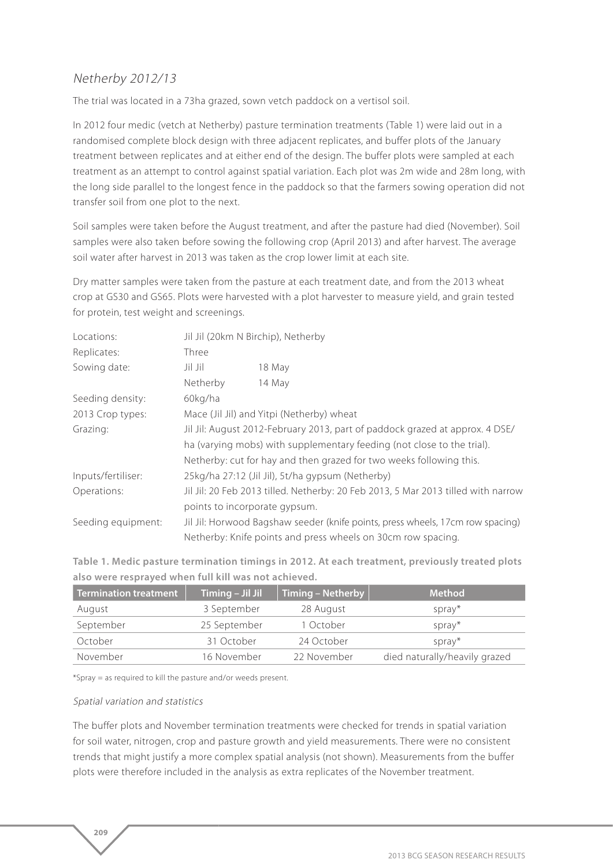#### Netherby 2012/13

The trial was located in a 73ha grazed, sown vetch paddock on a vertisol soil.

In 2012 four medic (vetch at Netherby) pasture termination treatments (Table 1) were laid out in a randomised complete block design with three adjacent replicates, and buffer plots of the January treatment between replicates and at either end of the design. The buffer plots were sampled at each treatment as an attempt to control against spatial variation. Each plot was 2m wide and 28m long, with the long side parallel to the longest fence in the paddock so that the farmers sowing operation did not transfer soil from one plot to the next.

Soil samples were taken before the August treatment, and after the pasture had died (November). Soil samples were also taken before sowing the following crop (April 2013) and after harvest. The average soil water after harvest in 2013 was taken as the crop lower limit at each site.

Dry matter samples were taken from the pasture at each treatment date, and from the 2013 wheat crop at GS30 and GS65. Plots were harvested with a plot harvester to measure yield, and grain tested for protein, test weight and screenings.

| Locations:         | Jil Jil (20km N Birchip), Netherby                                                |        |  |  |
|--------------------|-----------------------------------------------------------------------------------|--------|--|--|
| Replicates:        | Three                                                                             |        |  |  |
| Sowing date:       | Jil Jil                                                                           | 18 May |  |  |
|                    | Netherby                                                                          | 14 May |  |  |
| Seeding density:   | 60kg/ha                                                                           |        |  |  |
| 2013 Crop types:   | Mace (Jil Jil) and Yitpi (Netherby) wheat                                         |        |  |  |
| Grazing:           | Jil Jil: August 2012-February 2013, part of paddock grazed at approx. 4 DSE/      |        |  |  |
|                    | ha (varying mobs) with supplementary feeding (not close to the trial).            |        |  |  |
|                    | Netherby: cut for hay and then grazed for two weeks following this.               |        |  |  |
| Inputs/fertiliser: | 25kg/ha 27:12 (Jil Jil), 5t/ha gypsum (Netherby)                                  |        |  |  |
| Operations:        | Jil Jil: 20 Feb 2013 tilled. Netherby: 20 Feb 2013, 5 Mar 2013 tilled with narrow |        |  |  |
|                    | points to incorporate gypsum.                                                     |        |  |  |
| Seeding equipment: | Jil Jil: Horwood Bagshaw seeder (knife points, press wheels, 17cm row spacing)    |        |  |  |
|                    | Netherby: Knife points and press wheels on 30cm row spacing.                      |        |  |  |

**Table 1. Medic pasture termination timings in 2012. At each treatment, previously treated plots also were resprayed when full kill was not achieved.** 

| <b>Termination treatment</b> | Timing - Jil Jil | Timing - Netherby | <b>Method</b>                 |
|------------------------------|------------------|-------------------|-------------------------------|
| August                       | 3 September      | 28 August         | spray*                        |
| September                    | 25 September     | 1 October         | $spray*$                      |
| October                      | 31 October       | 24 October        | spray*                        |
| November                     | 16 November      | 22 November       | died naturally/heavily grazed |

\*Spray = as required to kill the pasture and/or weeds present.

#### Spatial variation and statistics

**209** 

The buffer plots and November termination treatments were checked for trends in spatial variation for soil water, nitrogen, crop and pasture growth and yield measurements. There were no consistent trends that might justify a more complex spatial analysis (not shown). Measurements from the buffer plots were therefore included in the analysis as extra replicates of the November treatment.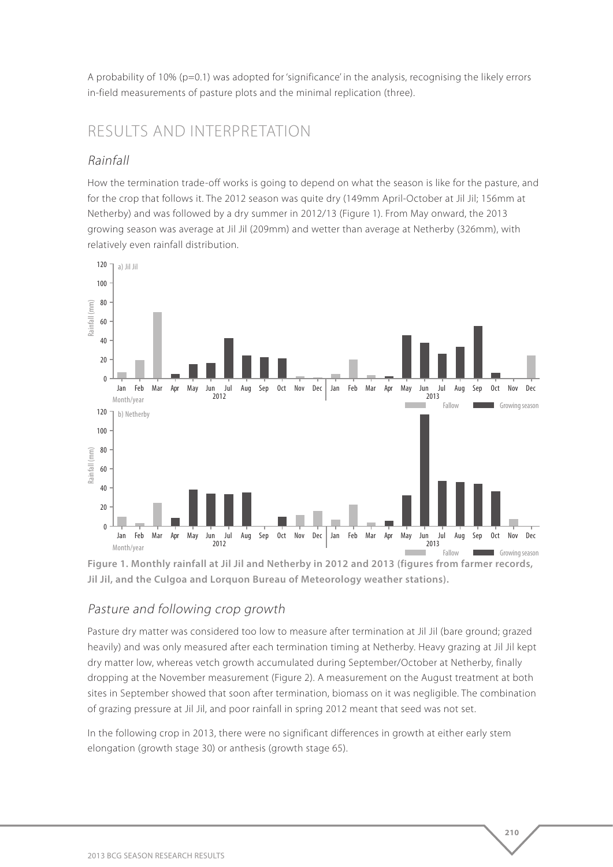A probability of 10% (p=0.1) was adopted for 'significance' in the analysis, recognising the likely errors in-field measurements of pasture plots and the minimal replication (three).

## RESULTS AND INTERPRETATION

#### Rainfall

How the termination trade-off works is going to depend on what the season is like for the pasture, and for the crop that follows it. The 2012 season was quite dry (149mm April-October at Jil Jil; 156mm at Netherby) and was followed by a dry summer in 2012/13 (Figure 1). From May onward, the 2013 growing season was average at Jil Jil (209mm) and wetter than average at Netherby (326mm), with relatively even rainfall distribution.



**Figure 1. Monthly rainfall at Jil Jil and Netherby in 2012 and 2013 (figures from farmer records, Jil Jil, and the Culgoa and Lorquon Bureau of Meteorology weather stations).**

#### Pasture and following crop growth

Pasture dry matter was considered too low to measure after termination at Jil Jil (bare ground; grazed heavily) and was only measured after each termination timing at Netherby. Heavy grazing at Jil Jil kept dry matter low, whereas vetch growth accumulated during September/October at Netherby, finally dropping at the November measurement (Figure 2). A measurement on the August treatment at both sites in September showed that soon after termination, biomass on it was negligible. The combination of grazing pressure at Jil Jil, and poor rainfall in spring 2012 meant that seed was not set.

In the following crop in 2013, there were no significant differences in growth at either early stem elongation (growth stage 30) or anthesis (growth stage 65).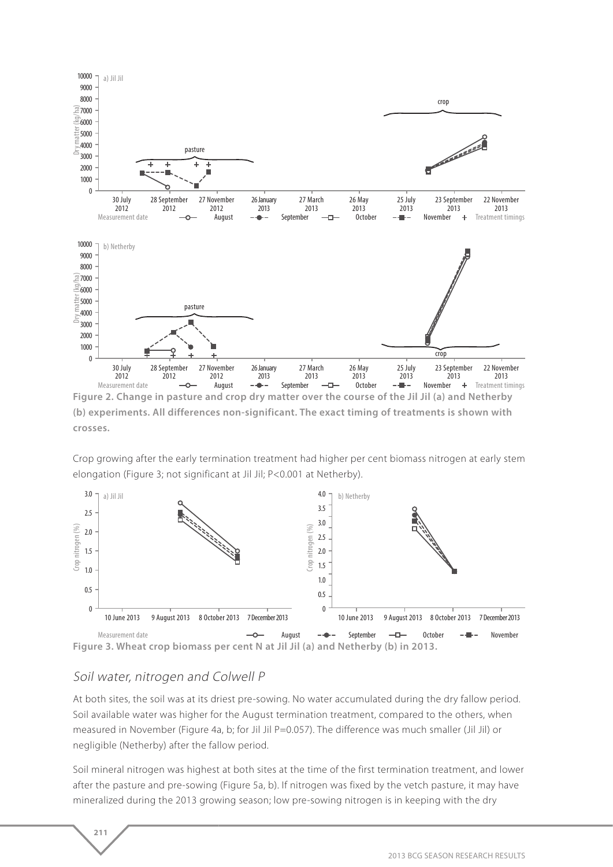

**(b) experiments. All differences non-significant. The exact timing of treatments is shown with crosses.**

Crop growing after the early termination treatment had higher per cent biomass nitrogen at early stem elongation (Figure 3; not significant at Jil Jil; P<0.001 at Netherby).



#### Soil water, nitrogen and Colwell P

**211** 

At both sites, the soil was at its driest pre-sowing. No water accumulated during the dry fallow period. Soil available water was higher for the August termination treatment, compared to the others, when measured in November (Figure 4a, b; for Jil Jil P=0.057). The difference was much smaller (Jil Jil) or negligible (Netherby) after the fallow period.

Soil mineral nitrogen was highest at both sites at the time of the first termination treatment, and lower after the pasture and pre-sowing (Figure 5a, b). If nitrogen was fixed by the vetch pasture, it may have mineralized during the 2013 growing season; low pre-sowing nitrogen is in keeping with the dry

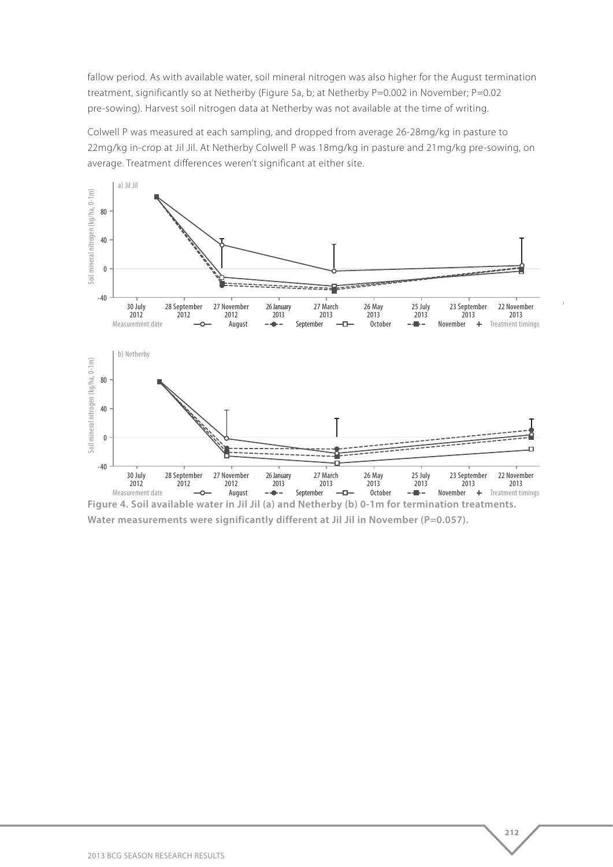fallow period. As with available water, soil mineral nitrogen was also higher for the August termination treatment, significantly so at Netherby (Figure 5a, b; at Netherby P=0.002 in November; P=0.02 pre-sowing). Harvest soil nitrogen data at Netherby was not available at the time of writing.

Colwell P was measured at each sampling, and dropped from average 26-28mg/kg in pasture to 22mg/kg in-crop at Jil Jil. At Netherby Colwell P was 18mg/kg in pasture and 21mg/kg pre-sowing, on average. Treatment differences weren't significant at either site.



**Figure 4. Soil available water in Jil Jil (a) and Netherby (b) 0-1m for termination treatments.**  Water measurements were significantly different at Jil Jil in November (P=0.057).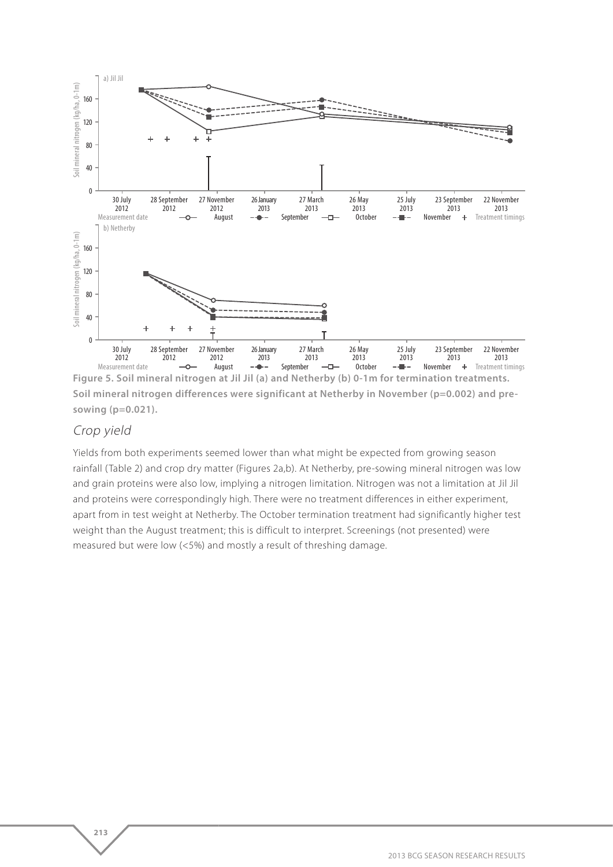

**Soil mineral nitrogen differences were significant at Netherby in November (p=0.002) and presowing (p=0.021).**

#### Crop yield

**213** 

Yields from both experiments seemed lower than what might be expected from growing season rainfall (Table 2) and crop dry matter (Figures 2a,b). At Netherby, pre-sowing mineral nitrogen was low and grain proteins were also low, implying a nitrogen limitation. Nitrogen was not a limitation at Jil Jil and proteins were correspondingly high. There were no treatment differences in either experiment, apart from in test weight at Netherby. The October termination treatment had significantly higher test weight than the August treatment; this is difficult to interpret. Screenings (not presented) were measured but were low (<5%) and mostly a result of threshing damage.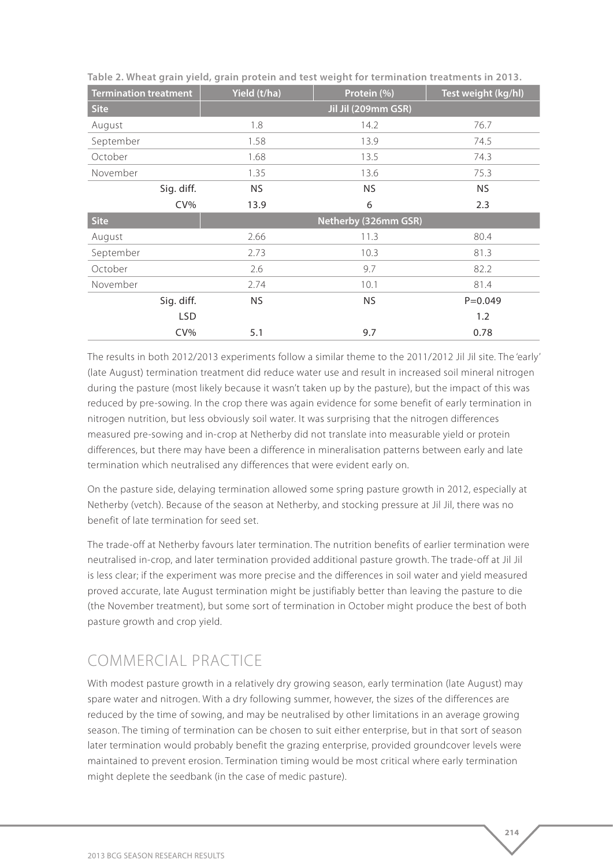| <b>Termination treatment</b> | Yield (t/ha)        | Protein (%)          | Test weight (kg/hl) |  |  |
|------------------------------|---------------------|----------------------|---------------------|--|--|
| <b>Site</b>                  | Jil Jil (209mm GSR) |                      |                     |  |  |
| August                       | 1.8                 | 14.2                 | 76.7                |  |  |
| September                    | 1.58                | 13.9                 | 74.5                |  |  |
| October                      | 1.68                | 13.5                 | 74.3                |  |  |
| November                     | 1.35                | 13.6                 | 75.3                |  |  |
| Sig. diff.                   | NS.                 | <b>NS</b>            | <b>NS</b>           |  |  |
| $CV\%$                       | 13.9                | 6                    | 2.3                 |  |  |
| <b>Site</b>                  |                     | Netherby (326mm GSR) |                     |  |  |
| August                       | 2.66                | 11.3                 | 80.4                |  |  |
| September                    | 2.73                | 10.3                 | 81.3                |  |  |
| October                      | 2.6                 | 9.7                  | 82.2                |  |  |
| November                     | 2.74                | 10.1                 | 81.4                |  |  |
| Sig. diff.                   | <b>NS</b>           | <b>NS</b>            | $P = 0.049$         |  |  |
| <b>LSD</b>                   |                     |                      | 1.2                 |  |  |
| $CV\%$                       | 5.1                 | 9.7                  | 0.78                |  |  |

**Table 2. Wheat grain yield, grain protein and test weight for termination treatments in 2013.**

The results in both 2012/2013 experiments follow a similar theme to the 2011/2012 Jil Jil site. The 'early' (late August) termination treatment did reduce water use and result in increased soil mineral nitrogen during the pasture (most likely because it wasn't taken up by the pasture), but the impact of this was reduced by pre-sowing. In the crop there was again evidence for some benefit of early termination in nitrogen nutrition, but less obviously soil water. It was surprising that the nitrogen differences measured pre-sowing and in-crop at Netherby did not translate into measurable yield or protein differences, but there may have been a difference in mineralisation patterns between early and late termination which neutralised any differences that were evident early on.

On the pasture side, delaying termination allowed some spring pasture growth in 2012, especially at Netherby (vetch). Because of the season at Netherby, and stocking pressure at Jil Jil, there was no benefit of late termination for seed set.

The trade-off at Netherby favours later termination. The nutrition benefits of earlier termination were neutralised in-crop, and later termination provided additional pasture growth. The trade-off at Jil Jil is less clear; if the experiment was more precise and the differences in soil water and yield measured proved accurate, late August termination might be justifiably better than leaving the pasture to die (the November treatment), but some sort of termination in October might produce the best of both pasture growth and crop yield.

# COMMERCIAL PRACTICE

With modest pasture growth in a relatively dry growing season, early termination (late August) may spare water and nitrogen. With a dry following summer, however, the sizes of the differences are reduced by the time of sowing, and may be neutralised by other limitations in an average growing season. The timing of termination can be chosen to suit either enterprise, but in that sort of season later termination would probably benefit the grazing enterprise, provided groundcover levels were maintained to prevent erosion. Termination timing would be most critical where early termination might deplete the seedbank (in the case of medic pasture).